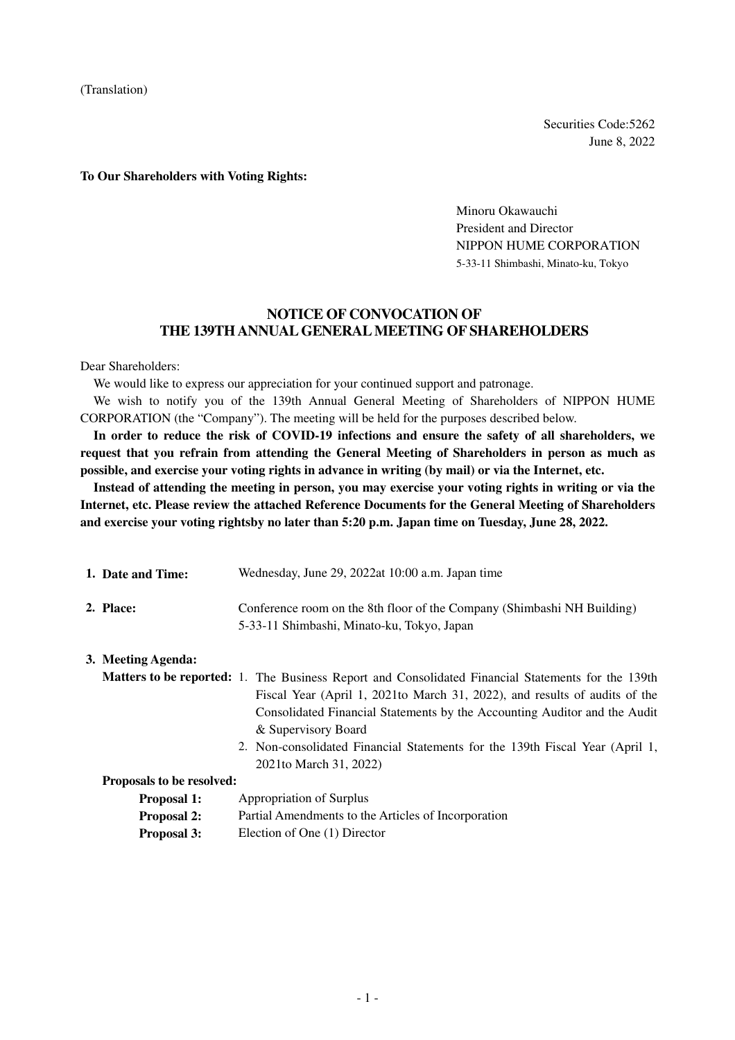(Translation)

Securities Code:5262 June 8, 2022

#### **To Our Shareholders with Voting Rights:**

Minoru Okawauchi President and Director NIPPON HUME CORPORATION 5-33-11 Shimbashi, Minato-ku, Tokyo

## **NOTICE OF CONVOCATION OF THE 139TH ANNUAL GENERAL MEETING OF SHAREHOLDERS**

Dear Shareholders:

We would like to express our appreciation for your continued support and patronage.

We wish to notify you of the 139th Annual General Meeting of Shareholders of NIPPON HUME CORPORATION (the "Company"). The meeting will be held for the purposes described below.

**In order to reduce the risk of COVID-19 infections and ensure the safety of all shareholders, we request that you refrain from attending the General Meeting of Shareholders in person as much as possible, and exercise your voting rights in advance in writing (by mail) or via the Internet, etc.** 

**Instead of attending the meeting in person, you may exercise your voting rights in writing or via the Internet, etc. Please review the attached Reference Documents for the General Meeting of Shareholders and exercise your voting rightsby no later than 5:20 p.m. Japan time on Tuesday, June 28, 2022.** 

| 1. Date and Time:  | Wednesday, June 29, 2022at 10:00 a.m. Japan time                                                                                                                                                                                                                                             |
|--------------------|----------------------------------------------------------------------------------------------------------------------------------------------------------------------------------------------------------------------------------------------------------------------------------------------|
| 2. Place:          | Conference room on the 8th floor of the Company (Shimbashi NH Building)<br>5-33-11 Shimbashi, Minato-ku, Tokyo, Japan                                                                                                                                                                        |
| 3. Meeting Agenda: |                                                                                                                                                                                                                                                                                              |
|                    | <b>Matters to be reported:</b> 1. The Business Report and Consolidated Financial Statements for the 139th<br>Fiscal Year (April 1, 2021 to March 31, 2022), and results of audits of the<br>Consolidated Financial Statements by the Accounting Auditor and the Audit<br>& Supervisory Board |
|                    | 2. Non-consolidated Financial Statements for the 139th Fiscal Year (April 1,                                                                                                                                                                                                                 |

2021to March 31, 2022)

| Proposals to be resolved: |  |  |  |  |
|---------------------------|--|--|--|--|
|---------------------------|--|--|--|--|

| <b>Proposal 1:</b> | Appropriation of Surplus |  |
|--------------------|--------------------------|--|
|--------------------|--------------------------|--|

- **Proposal 2:** Partial Amendments to the Articles of Incorporation
- **Proposal 3:** Election of One (1) Director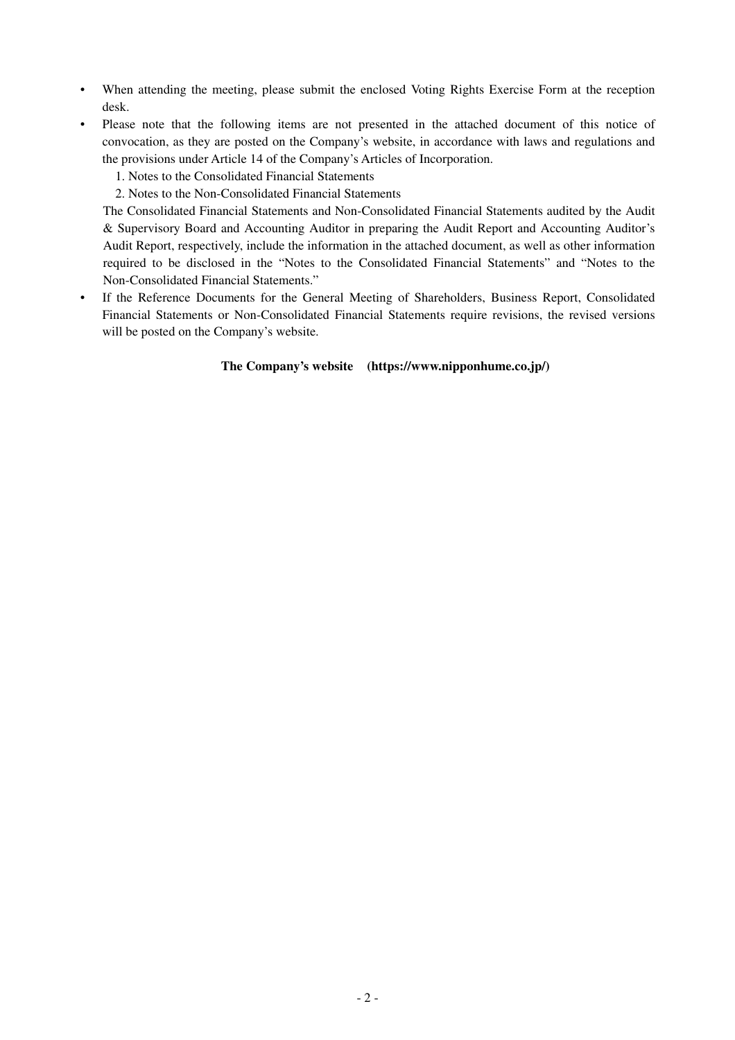- When attending the meeting, please submit the enclosed Voting Rights Exercise Form at the reception desk.
- Please note that the following items are not presented in the attached document of this notice of convocation, as they are posted on the Company's website, in accordance with laws and regulations and the provisions under Article 14 of the Company's Articles of Incorporation.
	- 1. Notes to the Consolidated Financial Statements
	- 2. Notes to the Non-Consolidated Financial Statements

The Consolidated Financial Statements and Non-Consolidated Financial Statements audited by the Audit & Supervisory Board and Accounting Auditor in preparing the Audit Report and Accounting Auditor's Audit Report, respectively, include the information in the attached document, as well as other information required to be disclosed in the "Notes to the Consolidated Financial Statements" and "Notes to the Non-Consolidated Financial Statements."

If the Reference Documents for the General Meeting of Shareholders, Business Report, Consolidated Financial Statements or Non-Consolidated Financial Statements require revisions, the revised versions will be posted on the Company's website.

#### **The Company's website (https://www.nipponhume.co.jp/)**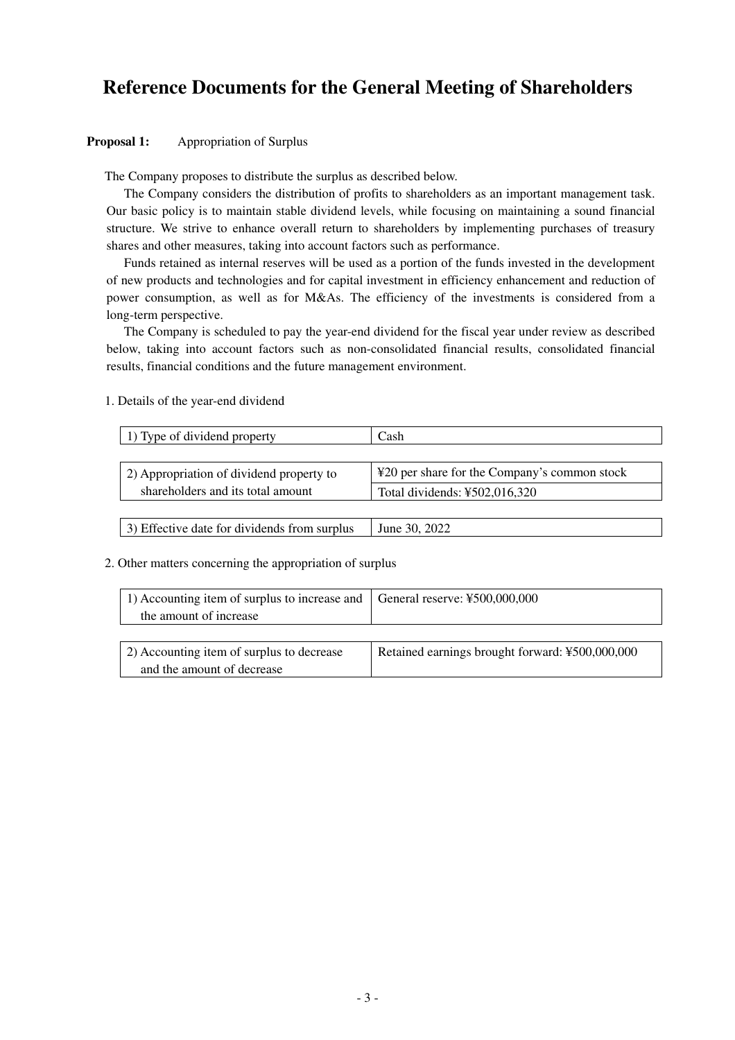# **Reference Documents for the General Meeting of Shareholders**

#### **Proposal 1:** Appropriation of Surplus

The Company proposes to distribute the surplus as described below.

The Company considers the distribution of profits to shareholders as an important management task. Our basic policy is to maintain stable dividend levels, while focusing on maintaining a sound financial structure. We strive to enhance overall return to shareholders by implementing purchases of treasury shares and other measures, taking into account factors such as performance.

Funds retained as internal reserves will be used as a portion of the funds invested in the development of new products and technologies and for capital investment in efficiency enhancement and reduction of power consumption, as well as for M&As. The efficiency of the investments is considered from a long-term perspective.

The Company is scheduled to pay the year-end dividend for the fiscal year under review as described below, taking into account factors such as non-consolidated financial results, consolidated financial results, financial conditions and the future management environment.

| 1) Type of dividend property             | Cash                                         |
|------------------------------------------|----------------------------------------------|
|                                          |                                              |
| 2) Appropriation of dividend property to | ¥20 per share for the Company's common stock |
| shareholders and its total amount        | Total dividends: ¥502,016,320                |
|                                          |                                              |

1. Details of the year-end dividend

#### 2. Other matters concerning the appropriation of surplus

| 1) Accounting item of surplus to increase and $\vert$ General reserve: ¥500,000,000 |  |
|-------------------------------------------------------------------------------------|--|
| the amount of increase                                                              |  |

| 2) Accounting item of surplus to decrease | Retained earnings brought forward: ¥500,000,000 |
|-------------------------------------------|-------------------------------------------------|
| and the amount of decrease                |                                                 |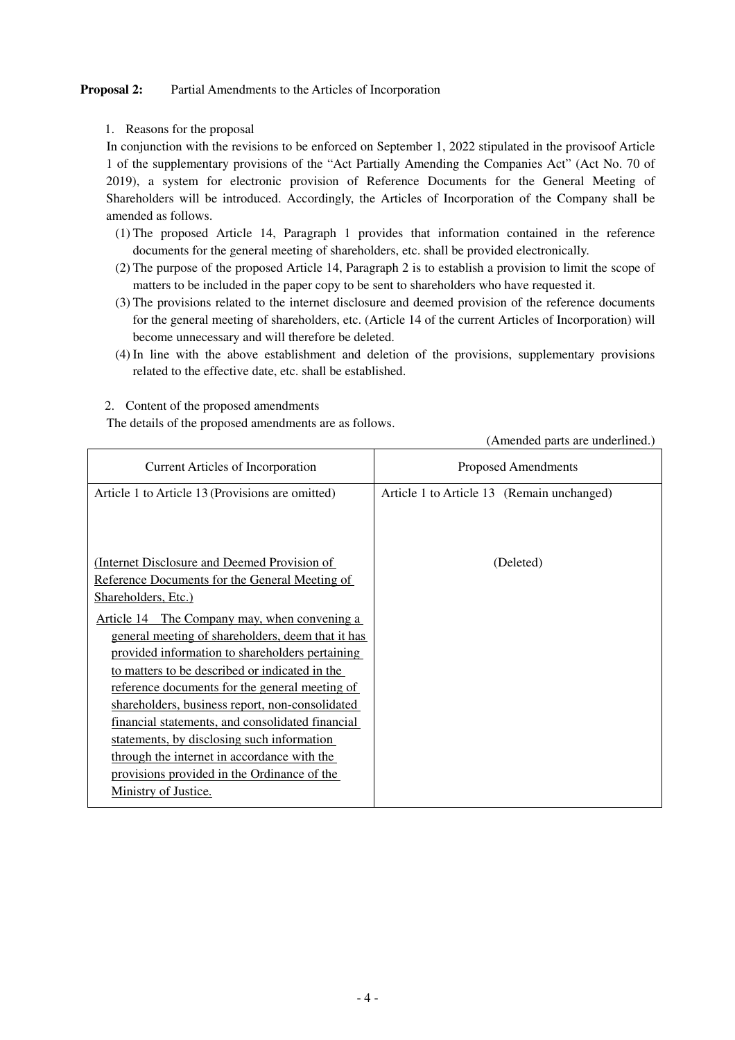## **Proposal 2:** Partial Amendments to the Articles of Incorporation

## 1. Reasons for the proposal

In conjunction with the revisions to be enforced on September 1, 2022 stipulated in the provisoof Article 1 of the supplementary provisions of the "Act Partially Amending the Companies Act" (Act No. 70 of 2019), a system for electronic provision of Reference Documents for the General Meeting of Shareholders will be introduced. Accordingly, the Articles of Incorporation of the Company shall be amended as follows.

- (1) The proposed Article 14, Paragraph 1 provides that information contained in the reference documents for the general meeting of shareholders, etc. shall be provided electronically.
- (2) The purpose of the proposed Article 14, Paragraph 2 is to establish a provision to limit the scope of matters to be included in the paper copy to be sent to shareholders who have requested it.
- (3) The provisions related to the internet disclosure and deemed provision of the reference documents for the general meeting of shareholders, etc. (Article 14 of the current Articles of Incorporation) will become unnecessary and will therefore be deleted.
- (4) In line with the above establishment and deletion of the provisions, supplementary provisions related to the effective date, etc. shall be established.

|                                                   | (Amended parts are underlined.)            |
|---------------------------------------------------|--------------------------------------------|
| <b>Current Articles of Incorporation</b>          | <b>Proposed Amendments</b>                 |
| Article 1 to Article 13 (Provisions are omitted)  | Article 1 to Article 13 (Remain unchanged) |
|                                                   |                                            |
|                                                   |                                            |
|                                                   |                                            |
| (Internet Disclosure and Deemed Provision of      | (Deleted)                                  |
| Reference Documents for the General Meeting of    |                                            |
| Shareholders, Etc.)                               |                                            |
|                                                   |                                            |
| Article 14 The Company may, when convening a      |                                            |
| general meeting of shareholders, deem that it has |                                            |
| provided information to shareholders pertaining   |                                            |
| to matters to be described or indicated in the    |                                            |
| reference documents for the general meeting of    |                                            |
| shareholders, business report, non-consolidated   |                                            |
| financial statements, and consolidated financial  |                                            |
| statements, by disclosing such information        |                                            |
| through the internet in accordance with the       |                                            |
| provisions provided in the Ordinance of the       |                                            |
| Ministry of Justice.                              |                                            |
|                                                   |                                            |

2. Content of the proposed amendments

The details of the proposed amendments are as follows.

(Amended parts are underlined.)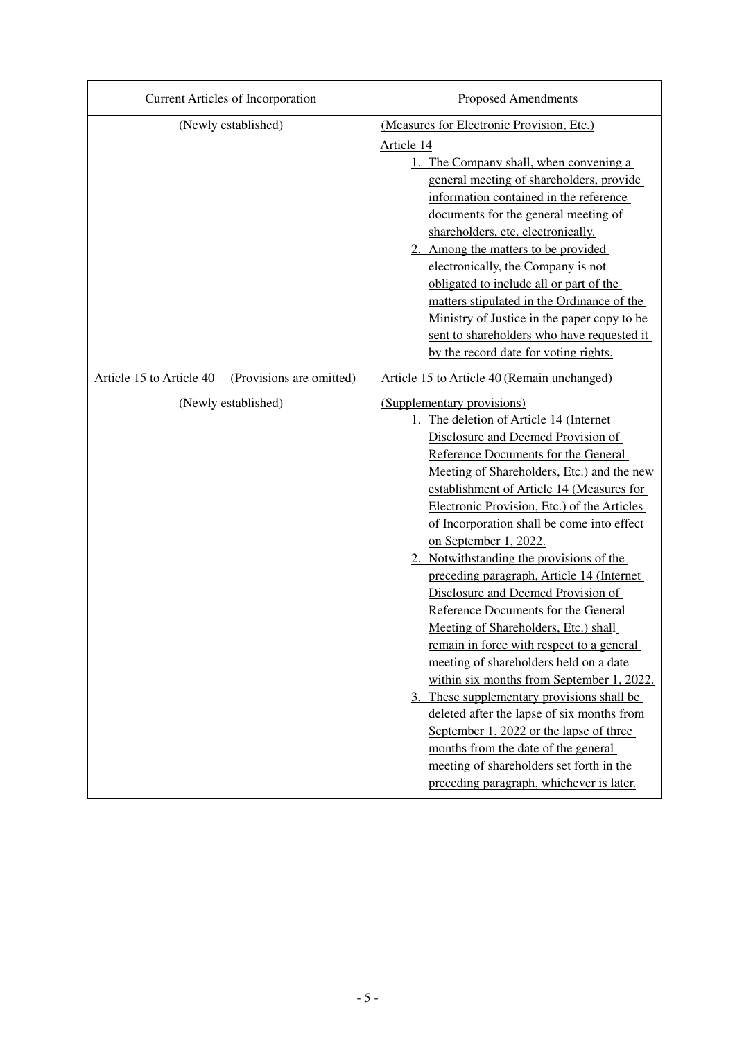| <b>Current Articles of Incorporation</b>             | <b>Proposed Amendments</b>                                                                                                                                                                                                                                                                                                                                                                                                                                                                                                                                                                                                                                                                                                                                                                                                                                                                                                                                                                  |
|------------------------------------------------------|---------------------------------------------------------------------------------------------------------------------------------------------------------------------------------------------------------------------------------------------------------------------------------------------------------------------------------------------------------------------------------------------------------------------------------------------------------------------------------------------------------------------------------------------------------------------------------------------------------------------------------------------------------------------------------------------------------------------------------------------------------------------------------------------------------------------------------------------------------------------------------------------------------------------------------------------------------------------------------------------|
| (Newly established)                                  | (Measures for Electronic Provision, Etc.)<br>Article 14<br>1. The Company shall, when convening a<br>general meeting of shareholders, provide<br>information contained in the reference<br>documents for the general meeting of<br>shareholders, etc. electronically.<br>2. Among the matters to be provided<br>electronically, the Company is not<br>obligated to include all or part of the<br>matters stipulated in the Ordinance of the<br>Ministry of Justice in the paper copy to be<br>sent to shareholders who have requested it<br>by the record date for voting rights.                                                                                                                                                                                                                                                                                                                                                                                                           |
| Article 15 to Article 40<br>(Provisions are omitted) | Article 15 to Article 40 (Remain unchanged)                                                                                                                                                                                                                                                                                                                                                                                                                                                                                                                                                                                                                                                                                                                                                                                                                                                                                                                                                 |
| (Newly established)                                  | (Supplementary provisions)<br>1. The deletion of Article 14 (Internet<br>Disclosure and Deemed Provision of<br>Reference Documents for the General<br>Meeting of Shareholders, Etc.) and the new<br>establishment of Article 14 (Measures for<br>Electronic Provision, Etc.) of the Articles<br>of Incorporation shall be come into effect<br>on September 1, 2022.<br>2. Notwithstanding the provisions of the<br>preceding paragraph, Article 14 (Internet<br>Disclosure and Deemed Provision of<br>Reference Documents for the General<br>Meeting of Shareholders, Etc.) shall<br>remain in force with respect to a general<br>meeting of shareholders held on a date<br>within six months from September 1, 2022.<br>3. These supplementary provisions shall be<br>deleted after the lapse of six months from<br>September 1, 2022 or the lapse of three<br>months from the date of the general<br>meeting of shareholders set forth in the<br>preceding paragraph, whichever is later. |